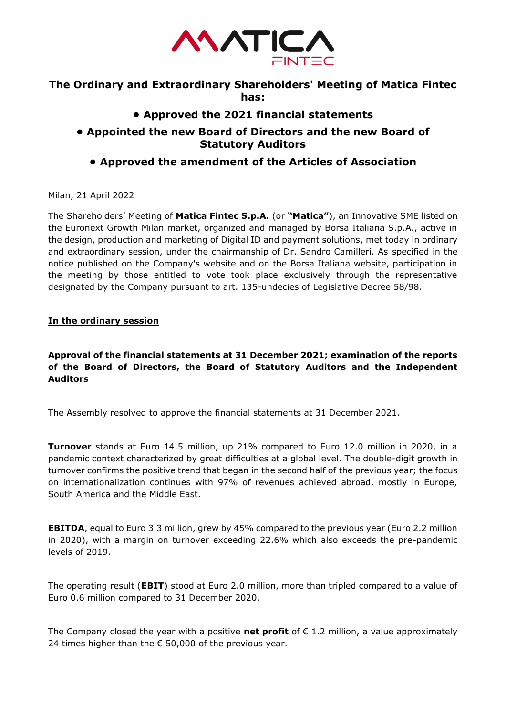

## **The Ordinary and Extraordinary Shareholders' Meeting of Matica Fintec has:**

# **• Approved the 2021 financial statements**

## **• Appointed the new Board of Directors and the new Board of Statutory Auditors**

# **• Approved the amendment of the Articles of Association**

Milan, 21 April 2022

The Shareholders' Meeting of **Matica Fintec S.p.A.** (or **"Matica"**), an Innovative SME listed on the Euronext Growth Milan market, organized and managed by Borsa Italiana S.p.A., active in the design, production and marketing of Digital ID and payment solutions, met today in ordinary and extraordinary session, under the chairmanship of Dr. Sandro Camilleri. As specified in the notice published on the Company's website and on the Borsa Italiana website, participation in the meeting by those entitled to vote took place exclusively through the representative designated by the Company pursuant to art. 135-undecies of Legislative Decree 58/98.

### **In the ordinary session**

### **Approval of the financial statements at 31 December 2021; examination of the reports of the Board of Directors, the Board of Statutory Auditors and the Independent Auditors**

The Assembly resolved to approve the financial statements at 31 December 2021.

**Turnover** stands at Euro 14.5 million, up 21% compared to Euro 12.0 million in 2020, in a pandemic context characterized by great difficulties at a global level. The double-digit growth in turnover confirms the positive trend that began in the second half of the previous year; the focus on internationalization continues with 97% of revenues achieved abroad, mostly in Europe, South America and the Middle East.

**EBITDA**, equal to Euro 3.3 million, grew by 45% compared to the previous year (Euro 2.2 million in 2020), with a margin on turnover exceeding 22.6% which also exceeds the pre-pandemic levels of 2019.

The operating result (**EBIT**) stood at Euro 2.0 million, more than tripled compared to a value of Euro 0.6 million compared to 31 December 2020.

The Company closed the year with a positive **net profit** of  $\epsilon$  1.2 million, a value approximately 24 times higher than the  $\epsilon$  50,000 of the previous year.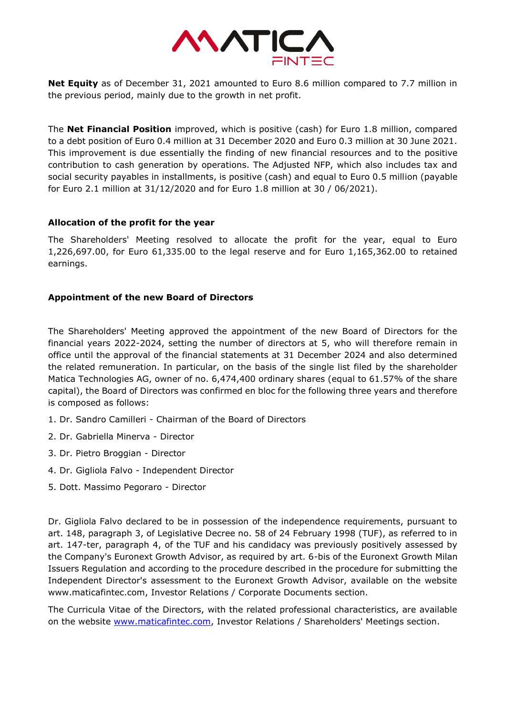

**Net Equity** as of December 31, 2021 amounted to Euro 8.6 million compared to 7.7 million in the previous period, mainly due to the growth in net profit.

The **Net Financial Position** improved, which is positive (cash) for Euro 1.8 million, compared to a debt position of Euro 0.4 million at 31 December 2020 and Euro 0.3 million at 30 June 2021. This improvement is due essentially the finding of new financial resources and to the positive contribution to cash generation by operations. The Adjusted NFP, which also includes tax and social security payables in installments, is positive (cash) and equal to Euro 0.5 million (payable for Euro 2.1 million at 31/12/2020 and for Euro 1.8 million at 30 / 06/2021).

### **Allocation of the profit for the year**

The Shareholders' Meeting resolved to allocate the profit for the year, equal to Euro 1,226,697.00, for Euro 61,335.00 to the legal reserve and for Euro 1,165,362.00 to retained earnings.

### **Appointment of the new Board of Directors**

The Shareholders' Meeting approved the appointment of the new Board of Directors for the financial years 2022-2024, setting the number of directors at 5, who will therefore remain in office until the approval of the financial statements at 31 December 2024 and also determined the related remuneration. In particular, on the basis of the single list filed by the shareholder Matica Technologies AG, owner of no. 6,474,400 ordinary shares (equal to 61.57% of the share capital), the Board of Directors was confirmed en bloc for the following three years and therefore is composed as follows:

- 1. Dr. Sandro Camilleri Chairman of the Board of Directors
- 2. Dr. Gabriella Minerva Director
- 3. Dr. Pietro Broggian Director
- 4. Dr. Gigliola Falvo Independent Director
- 5. Dott. Massimo Pegoraro Director

Dr. Gigliola Falvo declared to be in possession of the independence requirements, pursuant to art. 148, paragraph 3, of Legislative Decree no. 58 of 24 February 1998 (TUF), as referred to in art. 147-ter, paragraph 4, of the TUF and his candidacy was previously positively assessed by the Company's Euronext Growth Advisor, as required by art. 6-bis of the Euronext Growth Milan Issuers Regulation and according to the procedure described in the procedure for submitting the Independent Director's assessment to the Euronext Growth Advisor, available on the website www.maticafintec.com, Investor Relations / Corporate Documents section.

The Curricula Vitae of the Directors, with the related professional characteristics, are available on the website [www.maticafintec.com,](http://www.maticafintec.com/) Investor Relations / Shareholders' Meetings section.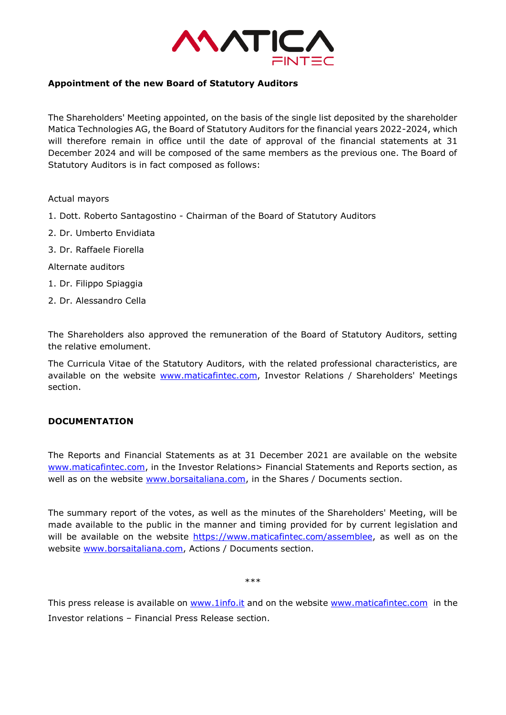

#### **Appointment of the new Board of Statutory Auditors**

The Shareholders' Meeting appointed, on the basis of the single list deposited by the shareholder Matica Technologies AG, the Board of Statutory Auditors for the financial years 2022-2024, which will therefore remain in office until the date of approval of the financial statements at 31 December 2024 and will be composed of the same members as the previous one. The Board of Statutory Auditors is in fact composed as follows:

#### Actual mayors

- 1. Dott. Roberto Santagostino Chairman of the Board of Statutory Auditors
- 2. Dr. Umberto Envidiata
- 3. Dr. Raffaele Fiorella

#### Alternate auditors

- 1. Dr. Filippo Spiaggia
- 2. Dr. Alessandro Cella

The Shareholders also approved the remuneration of the Board of Statutory Auditors, setting the relative emolument.

The Curricula Vitae of the Statutory Auditors, with the related professional characteristics, are available on the website [www.maticafintec.com,](http://www.maticafintec.com/) Investor Relations / Shareholders' Meetings section.

#### **DOCUMENTATION**

The Reports and Financial Statements as at 31 December 2021 are available on the website [www.maticafintec.com,](http://www.maticafintec.com/) in the Investor Relations> Financial Statements and Reports section, as well as on the website [www.borsaitaliana.com,](http://www.borsaitaliana.com/) in the Shares / Documents section.

The summary report of the votes, as well as the minutes of the Shareholders' Meeting, will be made available to the public in the manner and timing provided for by current legislation and will be available on the website [https://www.maticafintec.com/assemblee,](https://www.maticafintec.com/assemblee) as well as on the website [www.borsaitaliana.com,](http://www.borsaitaliana.com/) Actions / Documents section.

\*\*\*

This press release is available on [www.1info.it](http://www.1info.it/) and on the website [www.maticafintec.com](http://www.maticafintec.com/) in the Investor relations – Financial Press Release section.